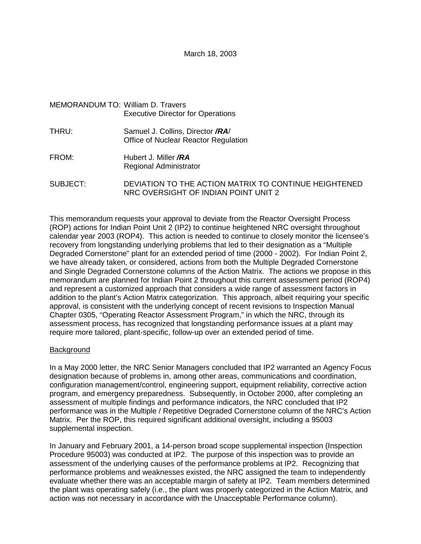## MEMORANDUM TO: William D. Travers Executive Director for Operations

- THRU: Samuel J. Collins, Director **/RA**/ Office of Nuclear Reactor Regulation
- FROM: Hubert J. Miller **/RA** Regional Administrator

SUBJECT: DEVIATION TO THE ACTION MATRIX TO CONTINUE HEIGHTENED NRC OVERSIGHT OF INDIAN POINT UNIT 2

This memorandum requests your approval to deviate from the Reactor Oversight Process (ROP) actions for Indian Point Unit 2 (IP2) to continue heightened NRC oversight throughout calendar year 2003 (ROP4). This action is needed to continue to closely monitor the licensee's recovery from longstanding underlying problems that led to their designation as a "Multiple Degraded Cornerstone" plant for an extended period of time (2000 - 2002). For Indian Point 2, we have already taken, or considered, actions from both the Multiple Degraded Cornerstone and Single Degraded Cornerstone columns of the Action Matrix. The actions we propose in this memorandum are planned for Indian Point 2 throughout this current assessment period (ROP4) and represent a customized approach that considers a wide range of assessment factors in addition to the plant's Action Matrix categorization. This approach, albeit requiring your specific approval, is consistent with the underlying concept of recent revisions to Inspection Manual Chapter 0305, "Operating Reactor Assessment Program," in which the NRC, through its assessment process, has recognized that longstanding performance issues at a plant may require more tailored, plant-specific, follow-up over an extended period of time.

#### Background

In a May 2000 letter, the NRC Senior Managers concluded that IP2 warranted an Agency Focus designation because of problems in, among other areas, communications and coordination, configuration management/control, engineering support, equipment reliability, corrective action program, and emergency preparedness. Subsequently, in October 2000, after completing an assessment of multiple findings and performance indicators, the NRC concluded that IP2 performance was in the Multiple / Repetitive Degraded Cornerstone column of the NRC's Action Matrix. Per the ROP, this required significant additional oversight, including a 95003 supplemental inspection.

In January and February 2001, a 14-person broad scope supplemental inspection (Inspection Procedure 95003) was conducted at IP2. The purpose of this inspection was to provide an assessment of the underlying causes of the performance problems at IP2. Recognizing that performance problems and weaknesses existed, the NRC assigned the team to independently evaluate whether there was an acceptable margin of safety at IP2. Team members determined the plant was operating safely (i.e., the plant was properly categorized in the Action Matrix, and action was not necessary in accordance with the Unacceptable Performance column).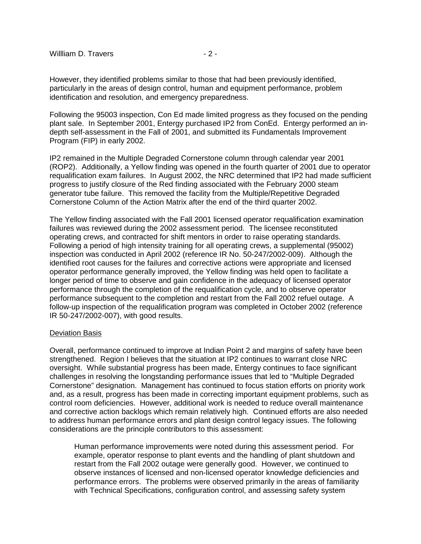However, they identified problems similar to those that had been previously identified, particularly in the areas of design control, human and equipment performance, problem identification and resolution, and emergency preparedness.

Following the 95003 inspection, Con Ed made limited progress as they focused on the pending plant sale. In September 2001, Entergy purchased IP2 from ConEd. Entergy performed an indepth self-assessment in the Fall of 2001, and submitted its Fundamentals Improvement Program (FIP) in early 2002.

IP2 remained in the Multiple Degraded Cornerstone column through calendar year 2001 (ROP2). Additionally, a Yellow finding was opened in the fourth quarter of 2001 due to operator requalification exam failures. In August 2002, the NRC determined that IP2 had made sufficient progress to justify closure of the Red finding associated with the February 2000 steam generator tube failure. This removed the facility from the Multiple/Repetitive Degraded Cornerstone Column of the Action Matrix after the end of the third quarter 2002.

The Yellow finding associated with the Fall 2001 licensed operator requalification examination failures was reviewed during the 2002 assessment period. The licensee reconstituted operating crews, and contracted for shift mentors in order to raise operating standards. Following a period of high intensity training for all operating crews, a supplemental (95002) inspection was conducted in April 2002 (reference IR No. 50-247/2002-009). Although the identified root causes for the failures and corrective actions were appropriate and licensed operator performance generally improved, the Yellow finding was held open to facilitate a longer period of time to observe and gain confidence in the adequacy of licensed operator performance through the completion of the requalification cycle, and to observe operator performance subsequent to the completion and restart from the Fall 2002 refuel outage. A follow-up inspection of the requalification program was completed in October 2002 (reference IR 50-247/2002-007), with good results.

#### Deviation Basis

Overall, performance continued to improve at Indian Point 2 and margins of safety have been strengthened. Region I believes that the situation at IP2 continues to warrant close NRC oversight. While substantial progress has been made, Entergy continues to face significant challenges in resolving the longstanding performance issues that led to "Multiple Degraded Cornerstone" designation. Management has continued to focus station efforts on priority work and, as a result, progress has been made in correcting important equipment problems, such as control room deficiencies. However, additional work is needed to reduce overall maintenance and corrective action backlogs which remain relatively high. Continued efforts are also needed to address human performance errors and plant design control legacy issues. The following considerations are the principle contributors to this assessment:

Human performance improvements were noted during this assessment period. For example, operator response to plant events and the handling of plant shutdown and restart from the Fall 2002 outage were generally good. However, we continued to observe instances of licensed and non-licensed operator knowledge deficiencies and performance errors. The problems were observed primarily in the areas of familiarity with Technical Specifications, configuration control, and assessing safety system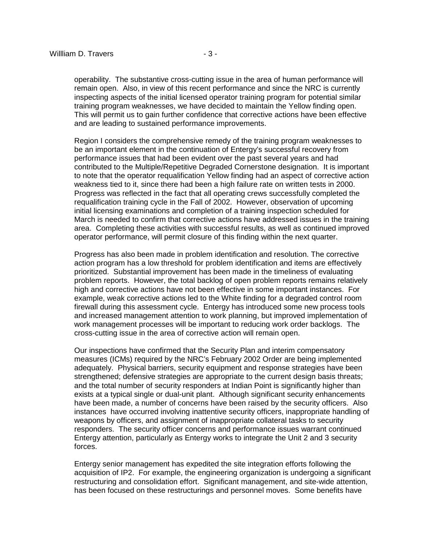operability. The substantive cross-cutting issue in the area of human performance will remain open. Also, in view of this recent performance and since the NRC is currently inspecting aspects of the initial licensed operator training program for potential similar training program weaknesses, we have decided to maintain the Yellow finding open. This will permit us to gain further confidence that corrective actions have been effective and are leading to sustained performance improvements.

Region I considers the comprehensive remedy of the training program weaknesses to be an important element in the continuation of Entergy's successful recovery from performance issues that had been evident over the past several years and had contributed to the Multiple/Repetitive Degraded Cornerstone designation. It is important to note that the operator requalification Yellow finding had an aspect of corrective action weakness tied to it, since there had been a high failure rate on written tests in 2000. Progress was reflected in the fact that all operating crews successfully completed the requalification training cycle in the Fall of 2002. However, observation of upcoming initial licensing examinations and completion of a training inspection scheduled for March is needed to confirm that corrective actions have addressed issues in the training area. Completing these activities with successful results, as well as continued improved operator performance, will permit closure of this finding within the next quarter.

Progress has also been made in problem identification and resolution. The corrective action program has a low threshold for problem identification and items are effectively prioritized. Substantial improvement has been made in the timeliness of evaluating problem reports. However, the total backlog of open problem reports remains relatively high and corrective actions have not been effective in some important instances. For example, weak corrective actions led to the White finding for a degraded control room firewall during this assessment cycle. Entergy has introduced some new process tools and increased management attention to work planning, but improved implementation of work management processes will be important to reducing work order backlogs. The cross-cutting issue in the area of corrective action will remain open.

Our inspections have confirmed that the Security Plan and interim compensatory measures (ICMs) required by the NRC's February 2002 Order are being implemented adequately. Physical barriers, security equipment and response strategies have been strengthened; defensive strategies are appropriate to the current design basis threats; and the total number of security responders at Indian Point is significantly higher than exists at a typical single or dual-unit plant. Although significant security enhancements have been made, a number of concerns have been raised by the security officers. Also instances have occurred involving inattentive security officers, inappropriate handling of weapons by officers, and assignment of inappropriate collateral tasks to security responders. The security officer concerns and performance issues warrant continued Entergy attention, particularly as Entergy works to integrate the Unit 2 and 3 security forces.

Entergy senior management has expedited the site integration efforts following the acquisition of IP2. For example, the engineering organization is undergoing a significant restructuring and consolidation effort. Significant management, and site-wide attention, has been focused on these restructurings and personnel moves. Some benefits have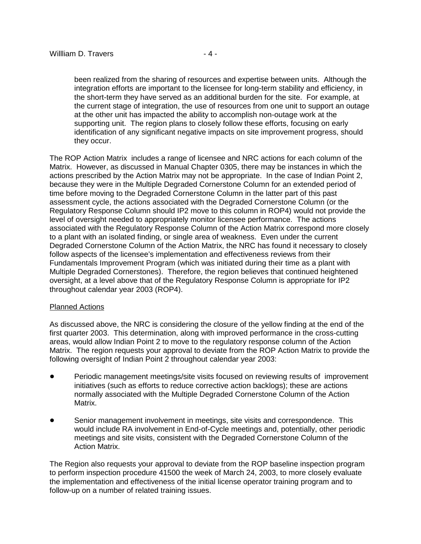been realized from the sharing of resources and expertise between units. Although the integration efforts are important to the licensee for long-term stability and efficiency, in the short-term they have served as an additional burden for the site. For example, at the current stage of integration, the use of resources from one unit to support an outage at the other unit has impacted the ability to accomplish non-outage work at the supporting unit. The region plans to closely follow these efforts, focusing on early identification of any significant negative impacts on site improvement progress, should they occur.

The ROP Action Matrix includes a range of licensee and NRC actions for each column of the Matrix. However, as discussed in Manual Chapter 0305, there may be instances in which the actions prescribed by the Action Matrix may not be appropriate. In the case of Indian Point 2, because they were in the Multiple Degraded Cornerstone Column for an extended period of time before moving to the Degraded Cornerstone Column in the latter part of this past assessment cycle, the actions associated with the Degraded Cornerstone Column (or the Regulatory Response Column should IP2 move to this column in ROP4) would not provide the level of oversight needed to appropriately monitor licensee performance. The actions associated with the Regulatory Response Column of the Action Matrix correspond more closely to a plant with an isolated finding, or single area of weakness. Even under the current Degraded Cornerstone Column of the Action Matrix, the NRC has found it necessary to closely follow aspects of the licensee's implementation and effectiveness reviews from their Fundamentals Improvement Program (which was initiated during their time as a plant with Multiple Degraded Cornerstones). Therefore, the region believes that continued heightened oversight, at a level above that of the Regulatory Response Column is appropriate for IP2 throughout calendar year 2003 (ROP4).

#### Planned Actions

As discussed above, the NRC is considering the closure of the yellow finding at the end of the first quarter 2003. This determination, along with improved performance in the cross-cutting areas, would allow Indian Point 2 to move to the regulatory response column of the Action Matrix. The region requests your approval to deviate from the ROP Action Matrix to provide the following oversight of Indian Point 2 throughout calendar year 2003:

- Periodic management meetings/site visits focused on reviewing results of improvement initiatives (such as efforts to reduce corrective action backlogs); these are actions normally associated with the Multiple Degraded Cornerstone Column of the Action Matrix.
- Senior management involvement in meetings, site visits and correspondence. This would include RA involvement in End-of-Cycle meetings and, potentially, other periodic meetings and site visits, consistent with the Degraded Cornerstone Column of the Action Matrix.

The Region also requests your approval to deviate from the ROP baseline inspection program to perform inspection procedure 41500 the week of March 24, 2003, to more closely evaluate the implementation and effectiveness of the initial license operator training program and to follow-up on a number of related training issues.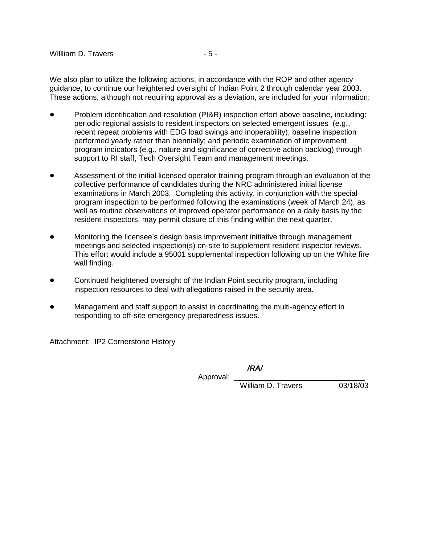We also plan to utilize the following actions, in accordance with the ROP and other agency guidance, to continue our heightened oversight of Indian Point 2 through calendar year 2003. These actions, although not requiring approval as a deviation, are included for your information:

- Problem identification and resolution (PI&R) inspection effort above baseline, including: periodic regional assists to resident inspectors on selected emergent issues (e.g., recent repeat problems with EDG load swings and inoperability); baseline inspection performed yearly rather than biennially; and periodic examination of improvement program indicators (e.g., nature and significance of corrective action backlog) through support to RI staff, Tech Oversight Team and management meetings.
- Assessment of the initial licensed operator training program through an evaluation of the collective performance of candidates during the NRC administered initial license examinations in March 2003. Completing this activity, in conjunction with the special program inspection to be performed following the examinations (week of March 24), as well as routine observations of improved operator performance on a daily basis by the resident inspectors, may permit closure of this finding within the next quarter.
- Monitoring the licensee's design basis improvement initiative through management meetings and selected inspection(s) on-site to supplement resident inspector reviews. This effort would include a 95001 supplemental inspection following up on the White fire wall finding.
- Continued heightened oversight of the Indian Point security program, including inspection resources to deal with allegations raised in the security area.
- Management and staff support to assist in coordinating the multi-agency effort in responding to off-site emergency preparedness issues.

Attachment: IP2 Cornerstone History

**/RA/**

Approval:

William D. Travers 03/18/03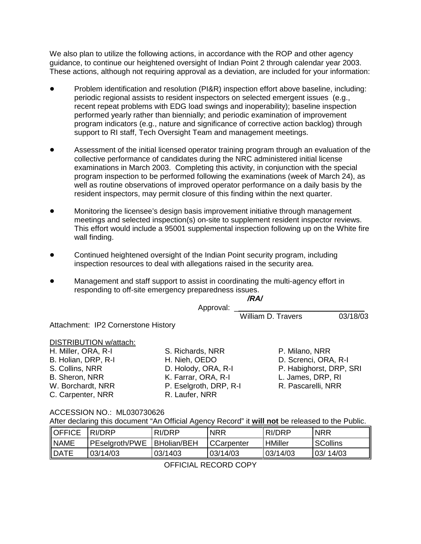We also plan to utilize the following actions, in accordance with the ROP and other agency guidance, to continue our heightened oversight of Indian Point 2 through calendar year 2003. These actions, although not requiring approval as a deviation, are included for your information:

- Problem identification and resolution (PI&R) inspection effort above baseline, including: periodic regional assists to resident inspectors on selected emergent issues (e.g., recent repeat problems with EDG load swings and inoperability); baseline inspection performed yearly rather than biennially; and periodic examination of improvement program indicators (e.g., nature and significance of corrective action backlog) through support to RI staff, Tech Oversight Team and management meetings.
- Assessment of the initial licensed operator training program through an evaluation of the collective performance of candidates during the NRC administered initial license examinations in March 2003. Completing this activity, in conjunction with the special program inspection to be performed following the examinations (week of March 24), as well as routine observations of improved operator performance on a daily basis by the resident inspectors, may permit closure of this finding within the next quarter.
- Monitoring the licensee's design basis improvement initiative through management meetings and selected inspection(s) on-site to supplement resident inspector reviews. This effort would include a 95001 supplemental inspection following up on the White fire wall finding.
- Continued heightened oversight of the Indian Point security program, including inspection resources to deal with allegations raised in the security area.
- Management and staff support to assist in coordinating the multi-agency effort in responding to off-site emergency preparedness issues.

|                                     |                        | /RA/                    |          |
|-------------------------------------|------------------------|-------------------------|----------|
|                                     | Approval:              |                         |          |
|                                     |                        | William D. Travers      | 03/18/03 |
| Attachment: IP2 Cornerstone History |                        |                         |          |
|                                     |                        |                         |          |
| DISTRIBUTION w/attach:              |                        |                         |          |
| H. Miller, ORA, R-I                 | S. Richards, NRR       | P. Milano, NRR          |          |
| B. Holian, DRP, R-I                 | H. Nieh, OEDO          | D. Screnci, ORA, R-I    |          |
| S. Collins, NRR                     | D. Holody, ORA, R-I    | P. Habighorst, DRP, SRI |          |
| B. Sheron, NRR                      | K. Farrar, ORA, R-I    | L. James, DRP, RI       |          |
| W. Borchardt, NRR                   | P. Eselgroth, DRP, R-I | R. Pascarelli, NRR      |          |
| C. Carpenter, NRR                   | R. Laufer, NRR         |                         |          |
|                                     |                        |                         |          |

## ACCESSION NO.: ML030730626

After declaring this document "An Official Agency Record" it **will not** be released to the Public.

| <b>I</b> OFFICE | RI/DRP         | RI/DRP              | NRR        | RI/DRP         | <b>NRR</b>      |
|-----------------|----------------|---------------------|------------|----------------|-----------------|
| NAME            | PEselgroth/PWE | <b>IBHolian/BEH</b> | CCarpenter | <b>HMiller</b> | <b>SCollins</b> |
| <b>IDATE</b>    | 03/14/03       | 03/1403             | 03/14/03   | 03/14/03       | 03/14/03        |

OFFICIAL RECORD COPY